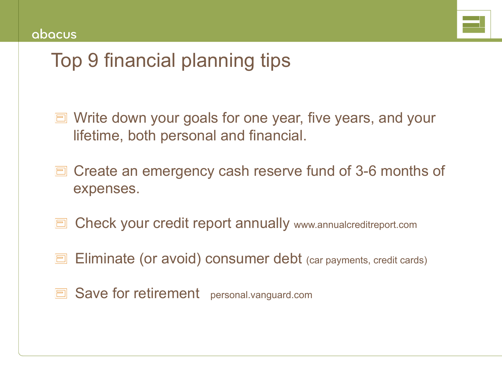

# Top 9 financial planning tips

- Write down your goals for one year, five years, and your lifetime, both personal and financial.
- **Create an emergency cash reserve fund of 3-6 months of** expenses.
- E Check your credit report annually www.annualcreditreport.com
- **E** Eliminate (or avoid) consumer debt (car payments, credit cards)
- **E** Save for retirement personal.vanguard.com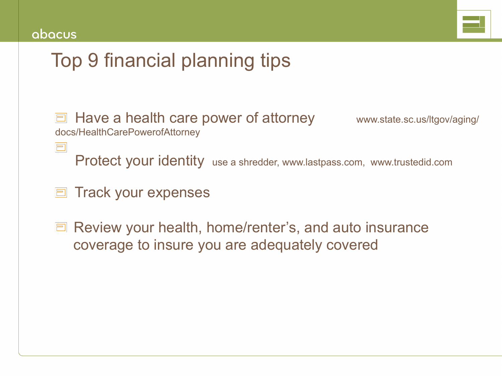F



# Top 9 financial planning tips

 Have a health care power of attorney www.state.sc.us/ltgov/aging/ docs/HealthCarePowerofAttorney

Protect your identity use a shredder, www.lastpass.com, www.trustedid.com

Track your expenses

Ξ

Review your health, home/renter's, and auto insurance coverage to insure you are adequately covered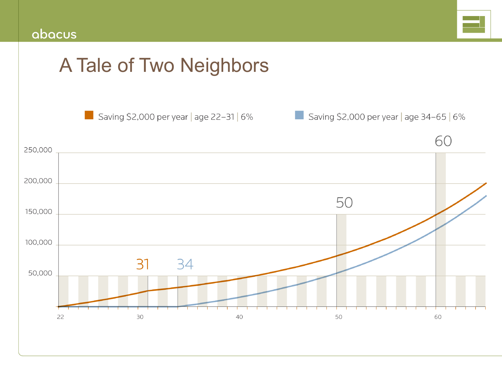

# A Tale of Two Neighbors

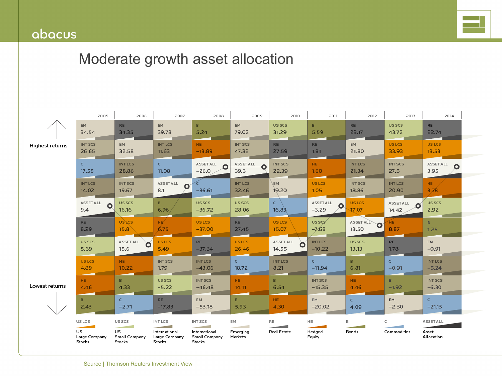## abacus



# Moderate growth asset allocation

|                        | 2005                               | 2006                          | 2007                                                                          | 2008                                     | 2009                    | 2010                                 | 2011                            | 2012                    | 2013                          | 2014                         |
|------------------------|------------------------------------|-------------------------------|-------------------------------------------------------------------------------|------------------------------------------|-------------------------|--------------------------------------|---------------------------------|-------------------------|-------------------------------|------------------------------|
|                        | <b>EM</b><br>34.54                 | <b>RE</b><br>34.35            | EM.<br>39.78                                                                  | $\mathbf{B}$<br>5.24                     | <b>EM</b><br>79.02      | US SCS<br>31.29                      | B.<br>5.59                      | <b>RE</b><br>23.17      | US SCS<br>43.72               | <b>RE</b><br>22.74           |
| <b>Highest returns</b> | <b>INT SCS</b><br>26.65            | <b>EM</b><br>32.58            | <b>INTLCS</b><br>11.63                                                        | HE.<br>$-13.89$                          | <b>INT SCS</b><br>47.32 | <b>RE</b><br>27.59                   | <b>RE</b><br>1.81               | <b>EM</b><br>21.80      | <b>USLCS</b><br>33.93         | <b>USLCS</b><br>13.53        |
|                        | $\epsilon$<br>17.55                | <b>INT LCS</b><br>28.86       | $\mathsf{C}$<br>11.08                                                         | <b>ASSETALL</b><br>$-26.0$               | ASSET ALL<br>39.3       | <b>INT SCS</b><br>22.39              | HE.<br>1.60                     | <b>INT LCS</b><br>21.34 | <b>INT SCS</b><br>27.5        | <b>ASSETALL</b><br>О<br>3.95 |
|                        | <b>INTLCS</b><br>14.02             | <b>INT SCS</b><br>19.67       | <b>ASSETALL</b><br>$\mathbf o$<br>8.1                                         | ć<br>$-36.61$                            | <b>INT LCS</b><br>32.46 | <b>EM</b><br>19.20                   | _<br><b>USLCS</b><br>1.05       | <b>INT SCS</b><br>18.86 | <b>INT LCS</b><br>20.90       | HE.<br>3.78                  |
|                        | <b>ASSETALL</b><br>$\Omega$<br>9.4 | US SCS<br>16.16               | B.<br>6.96                                                                    | US SCS<br>$-36.72$                       | US SCS<br>28.06         | $\mathsf{C}$<br>16.83                | <b>ASSETALL</b><br>O<br>$-3.29$ | <b>US LCS</b><br>17.07  | <b>ASSETALL</b><br>O<br>14.42 | <b>USSCS</b><br>2.92         |
|                        | <b>RE</b><br>8.29                  | <b>USLCS</b><br>15.8          | HE<br>6.75                                                                    | <b>USLCS</b><br>$-37.00$                 | <b>RE</b><br>27.45      | <b>USLCS</b><br>15.07                | US SCS<br>$-7.68$               | ASSET ALL<br>O<br>13.50 | HE.<br>8.87                   | B<br>1.25                    |
|                        | US SCS<br>5.69                     | ASSET ALL<br>15.6             | <b>US LCS</b><br>5.49                                                         | <b>RE</b><br>$-37.34$                    | <b>USLCS</b><br>26.46   | <b>ASSETALL</b><br>$\Omega$<br>14.55 | <b>INTLCS</b><br>$-10.22$       | US SCS<br>13.13         | <b>RE</b><br>1.78             | EM<br>$-0.91$                |
|                        | <b>USLCS</b><br>4.89               | HE.<br>10.22                  | <b>INTSCS</b><br>1.79                                                         | <b>INTLCS</b><br>$-43.06$                | $\mathsf{C}$<br>18.72   | <b>INT LCS</b><br>8.21               | $\mathsf{C}$<br>$-11.94$        | B.<br>6.81              | $\epsilon$<br>$-0.91$         | <b>INTLCS</b><br>$-5.24$     |
| Lowest returns         | HE.<br>4.46                        | B.<br>4.33                    | US SCS<br>$-5.22$                                                             | <b>INT SCS</b><br>$-46.48$               | HE.<br>14.11            | B.<br>6.54                           | <b>INT SCS</b><br>$-15.35$      | HE.<br>4.46             | $\mathbf{B}$<br>$-1.92$       | <b>INT SCS</b><br>$-6.30$    |
|                        | B.<br>2.43                         | $\epsilon$<br>$-2.71$         | RE.<br>$-17.83$                                                               | <b>EM</b><br>$-53.18$                    | B.<br>5.93              | HE.<br>4.30                          | <b>EM</b><br>$-20.02$           | $\epsilon$<br>4.09      | <b>EM</b><br>$-2.30$          | $\mathsf{C}$<br>$-21.13$     |
|                        | US LCS                             | US SCS                        | INT LCS                                                                       | <b>INT SCS</b>                           | EM                      | RE                                   | HE                              | B                       | C                             | <b>ASSETALL</b>              |
|                        | US<br>Large Company<br>Stocks      | US<br>Small Company<br>Stocks | <b>Contract Contract Contract</b><br>International<br>Large Company<br>Stocks | International<br>Small Company<br>Stocks | Emerging<br>Markets     | <b>Real Estate</b>                   | Hedged<br>Equity                | Bonds                   | Commodities                   | Asset<br>Allocation          |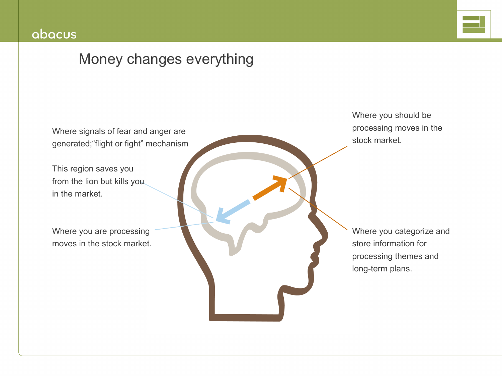

# Money changes everything

Where signals of fear and anger are generated;"flight or fight" mechanism

This region saves you from the lion but kills you in the market.

Where you are processing moves in the stock market. Where you should be processing moves in the stock market.

Where you categorize and store information for processing themes and long-term plans.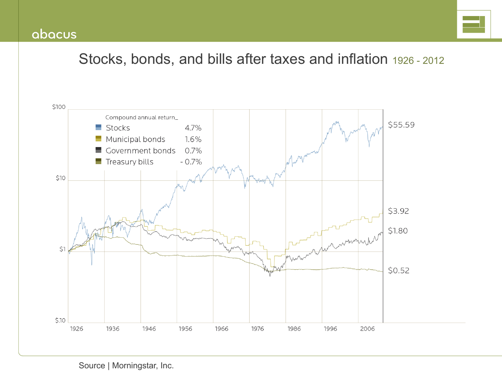

# Stocks, bonds, and bills after taxes and inflation 1926 - 2012

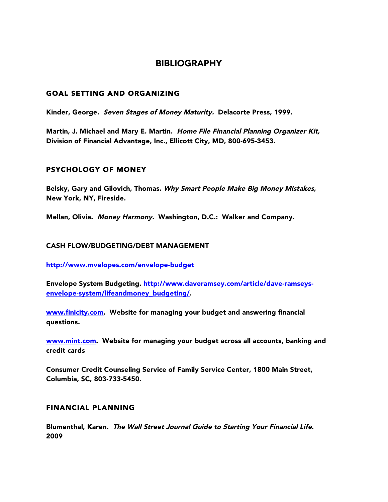## BIBLIOGRAPHY

### GOAL SETTING AND ORGANIZING

Kinder, George. Seven Stages of Money Maturity. Delacorte Press, 1999.

Martin, J. Michael and Mary E. Martin. Home File Financial Planning Organizer Kit, Division of Financial Advantage, Inc., Ellicott City, MD, 800-695-3453.

## PSYCHOLOGY OF MONEY

Belsky, Gary and Gilovich, Thomas. Why Smart People Make Big Money Mistakes, New York, NY, Fireside.

Mellan, Olivia. Money Harmony. Washington, D.C.: Walker and Company.

#### CASH FLOW/BUDGETING/DEBT MANAGEMENT

http://www.mvelopes.com/envelope-budget

Envelope System Budgeting. http://www.daveramsey.com/article/dave-ramseysenvelope-system/lifeandmoney\_budgeting/.

www.finicity.com. Website for managing your budget and answering financial questions.

www.mint.com. Website for managing your budget across all accounts, banking and credit cards

Consumer Credit Counseling Service of Family Service Center, 1800 Main Street, Columbia, SC, 803-733-5450.

## FINANCIAL PLANNING

Blumenthal, Karen. The Wall Street Journal Guide to Starting Your Financial Life. 2009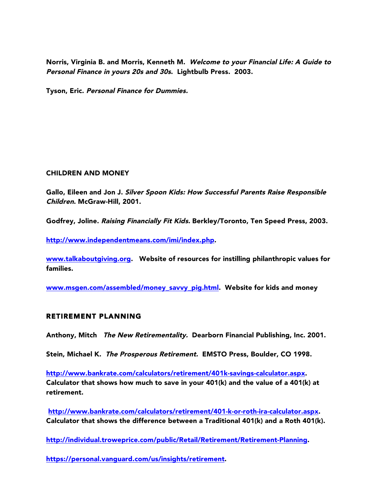Norris, Virginia B. and Morris, Kenneth M. Welcome to your Financial Life: A Guide to Personal Finance in yours 20s and 30s. Lightbulb Press. 2003.

Tyson, Eric. Personal Finance for Dummies.

#### CHILDREN AND MONEY

Gallo, Eileen and Jon J. Silver Spoon Kids: How Successful Parents Raise Responsible Children. McGraw-Hill, 2001.

Godfrey, Joline. Raising Financially Fit Kids. Berkley/Toronto, Ten Speed Press, 2003.

http://www.independentmeans.com/imi/index.php.

www.talkaboutgiving.org. Website of resources for instilling philanthropic values for families.

www.msgen.com/assembled/money\_savvy\_pig.html. Website for kids and money

#### RETIREMENT PLANNING

Anthony, Mitch The New Retirementality. Dearborn Financial Publishing, Inc. 2001.

Stein, Michael K. The Prosperous Retirement. EMSTO Press, Boulder, CO 1998.

http://www.bankrate.com/calculators/retirement/401k-savings-calculator.aspx. Calculator that shows how much to save in your 401(k) and the value of a 401(k) at retirement.

http://www.bankrate.com/calculators/retirement/401-k-or-roth-ira-calculator.aspx. Calculator that shows the difference between a Traditional  $401(k)$  and a Roth  $401(k)$ .

http://individual.troweprice.com/public/Retail/Retirement/Retirement-Planning.

https://personal.vanguard.com/us/insights/retirement.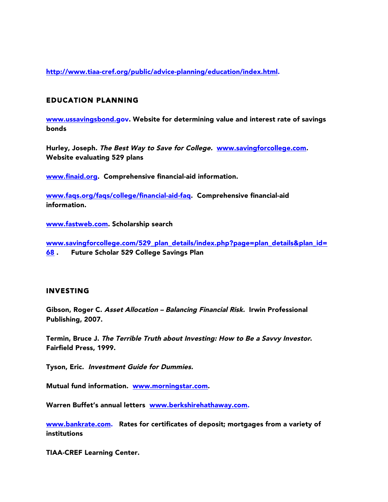http://www.tiaa-cref.org/public/advice-planning/education/index.html.

### EDUCATION PLANNING

www.ussavingsbond.gov. Website for determining value and interest rate of savings bonds

Hurley, Joseph. The Best Way to Save for College. www.savingforcollege.com. Website evaluating 529 plans

www.finaid.org. Comprehensive financial-aid information.

www.faqs.org/faqs/college/financial-aid-faq. Comprehensive financial-aid information.

www.fastweb.com. Scholarship search

www.savingforcollege.com/529\_plan\_details/index.php?page=plan\_details&plan\_id= 68 . Future Scholar 529 College Savings Plan

#### INVESTING

Gibson, Roger C. Asset Allocation – Balancing Financial Risk. Irwin Professional Publishing, 2007.

Termin, Bruce J. The Terrible Truth about Investing: How to Be a Savvy Investor. Fairfield Press, 1999.

Tyson, Eric. Investment Guide for Dummies.

Mutual fund information. www.morningstar.com.

Warren Buffet's annual letters www.berkshirehathaway.com.

www.bankrate.com. Rates for certificates of deposit; mortgages from a variety of institutions

TIAA-CREF Learning Center.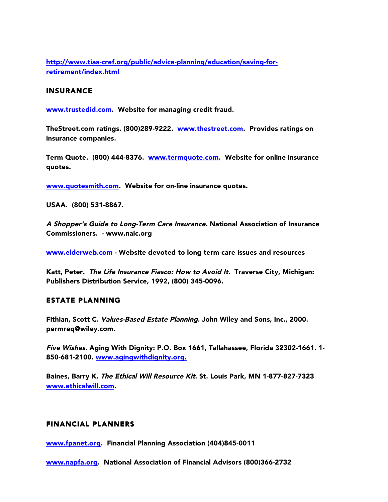http://www.tiaa-cref.org/public/advice-planning/education/saving-forretirement/index.html

#### INSURANCE

www.trustedid.com. Website for managing credit fraud.

TheStreet.com ratings. (800)289-9222. www.thestreet.com. Provides ratings on insurance companies.

Term Quote. (800) 444-8376. www.termquote.com. Website for online insurance quotes.

www.quotesmith.com. Website for on-line insurance quotes.

USAA. (800) 531-8867.

A Shopper's Guide to Long-Term Care Insurance. National Association of Insurance Commissioners. - www.naic.org

www.elderweb.com - Website devoted to long term care issues and resources

Katt, Peter. The Life Insurance Fiasco: How to Avoid It. Traverse City, Michigan: Publishers Distribution Service, 1992, (800) 345-0096.

#### ESTATE PLANNING

Fithian, Scott C. Values-Based Estate Planning. John Wiley and Sons, Inc., 2000. permreq@wiley.com.

Five Wishes. Aging With Dignity: P.O. Box 1661, Tallahassee, Florida 32302-1661. 1- 850-681-2100. www.agingwithdignity.org.

Baines, Barry K. The Ethical Will Resource Kit. St. Louis Park, MN 1-877-827-7323 www.ethicalwill.com.

## FINANCIAL PLANNERS

www.fpanet.org. Financial Planning Association (404)845-0011

www.napfa.org. National Association of Financial Advisors (800)366-2732